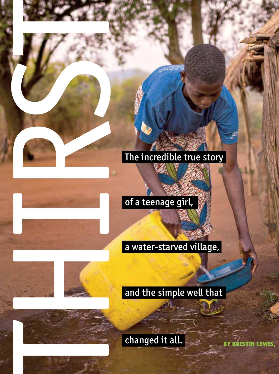# The incredible true story

# of a teenage girl,

# The incredible true story<br>
The incredible true story<br>
The incredible true story<br>
and the simple well that<br>
and the simple well that<br>
thanged it all. and the simple well that

changed it all.

BY KRISTIN LEWIS,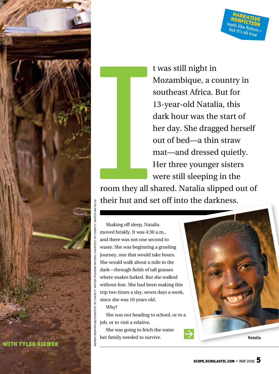

t was still night in Mozambique, a country in southeast Africa. But for 13-year-old Natalia, this dark hour was the start of her day. She dragged herself out of bed—a thin straw mat—and dressed quietly. Her three younger sisters were still sleeping in the

NARRATIVE<br>IONETA **NONFICTION** reads like fiction but it's all true

I<br>
I<br>
S<br>
C<br>
Their hut and s room they all shared. Natalia slipped out of their hut and set off into the darkness.

Shaking off sleep, Natalia moved briskly. It was 4:30 a.m., and there was not one second to waste. She was beginning a grueling journey, one that would take hours. She would walk about a mile in the dark—through fields of tall grasses where snakes lurked. But she walked without fear. She had been making this trip two times a day, seven days a week, since she was 10 years old.

### Why?

She was not heading to school, or to a job, or to visit a relative.

She was going to fetch the water her family needed to survive. **Natalia** 

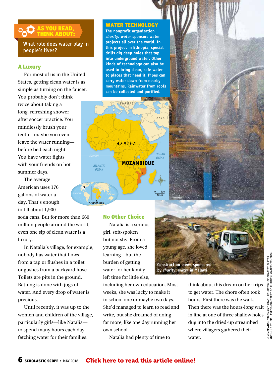### AS YOU READ, THINK ABOUT:

What role does water play in people's lives?

### A Luxury

For most of us in the United States, getting clean water is as simple as turning on the faucet. You probably don't think twice about taking a long, refreshing shower after soccer practice. You mindlessly brush your teeth—maybe you even leave the water running before bed each night. You have water fights with your friends on hot summer days.

The average American uses 176 gallons of water a day. That's enough to fill about 1,900

soda cans. But for more than 660 million people around the world, even one sip of clean water is a luxury.

In Natalia's village, for example, nobody has water that flows from a tap or flushes in a toilet or gushes from a backyard hose. Toilets are pits in the ground. Bathing is done with jugs of water. And every drop of water is precious.

Until recently, it was up to the women and children of the village, particularly girls—like Natalia to spend many hours each day fetching water for their families.

### WATER TECHNOLOGY

**The nonprofit organization**  *charity: water* **sponsors water projects all over the world. In this project in Ethiopia, special drills dig deep holes that tap into underground water. Other kinds of technology can also be used to bring clean, safe water to places that need it. Pipes can carry water down from nearby mountains. Rainwater from roofs can be collected and purified.**



### No Other Choice

Natalia is a serious girl, soft-spoken but not shy. From a young age, she loved learning—but the burden of getting water for her family left time for little else,

including her own education. Most weeks, she was lucky to make it to school one or maybe two days. She'd managed to learn to read and write, but she dreamed of doing far more, like one day running her own school.

Natalia had plenty of time to



think about this dream on her trips to get water. The chore often took hours. First there was the walk. Then there was the hours-long wait in line at one of three shallow holes dug into the dried-up streambed where villagers gathered their water.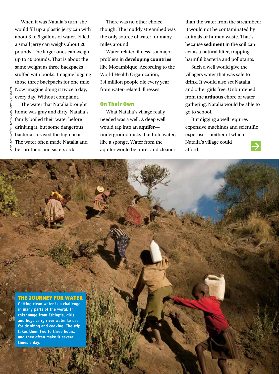When it was Natalia's turn, she would fill up a plastic jerry can with about 3 to 5 gallons of water. Filled, a small jerry can weighs about 20 pounds. The larger ones can weigh up to 40 pounds. That is about the same weight as three backpacks stuffed with books. Imagine lugging those three backpacks for one mile. Now imagine doing it twice a day, every day. Without complaint.

The water that Natalia brought home was gray and dirty. Natalia's family boiled their water before drinking it, but some dangerous bacteria survived the high heat. The water often made Natalia and her brothers and sisters sick.

There was no other choice, though. The muddy streambed was the only source of water for many miles around.

Water-related illness is a major problem in **developing countries** like Mozambique. According to the World Health Organization, 3.4 million people die every year from water-related illnesses.

## On Their Own

What Natalia's village really needed was a well. A deep well would tap into an **aquifer** underground rocks that hold water, like a sponge. Water from the aquifer would be purer and cleaner

than the water from the streambed; it would not be contaminated by animals or human waste. That's because **sediment** in the soil can act as a natural filter, trapping harmful bacteria and pollutants.

Such a well would give the villagers water that was safe to drink. It would also set Natalia and other girls free. Unburdened from the **arduous** chore of water gathering, Natalia would be able to go to school.

But digging a well requires expensive machines and scientific expertise—neither of which Natalia's village could afford.  $\rightarrow$ 

SCOPER SCHOLASTIC

### THE JOURNEY FOR WATER

**Getting clean water is a challenge in many parts of the world. In this image from Ethiopia, girls and boys carry river water to use for drinking and cooking. The trip takes them two to three hours, and they often make it several times a day.**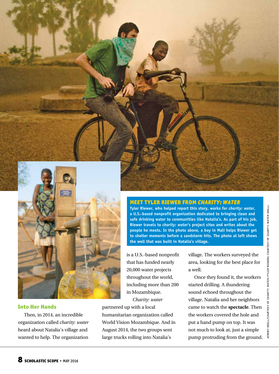



### Into Her Hands

Then, in 2014, an incredible organization called *charity: water*  heard about Natalia's village and wanted to help. The organization MEET TYLER RIEWER FROM *CHARITY: WATER* 

**Tyler Riewer, who helped report this story, works for** *charity: water***, a U.S.-based nonprofit organization dedicated to bringing clean and safe drinking water to communities like Natalia's. As part of his job, Riewer travels to** *charity: water***'s project sites and writes about the people he meets. In the photo above, a boy in Mali helps Riewer get to shelter moments before a sandstorm hits. The photo at left shows the well that was built in Natalia's village.** 

is a U.S.-based nonprofit that has funded nearly 20,000 water projects throughout the world, including more than 200 in Mozambique.

*Charity: water*

partnered up with a local humanitarian organization called World Vision Mozambique. And in August 2014, the two groups sent large trucks rolling into Natalia's

village. The workers surveyed the area, looking for the best place for a well.

Once they found it, the workers started drilling. A thundering sound echoed throughout the village. Natalia and her neighbors came to watch the **spectacle**. Then the workers covered the hole and put a hand pump on top. It was not much to look at, just a simple pump protruding from the ground.